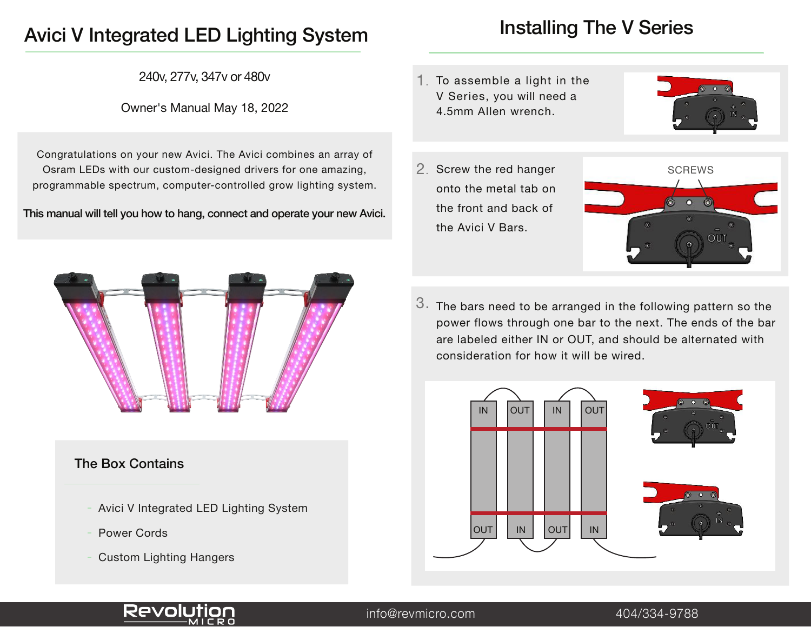# Avici V Integrated LED Lighting System

240v, 277v, 347v or 480v

### Owner's Manual May 18, 2022

Congratulations on your new Avici. The Avici combines an array of Osram LEDs with our custom-designed drivers for one amazing, programmable spectrum, computer-controlled grow lighting system.

This manual will tell you how to hang, connect and operate your new Avici.



### The Box Contains

- Avici V Integrated LED Lighting System
- Power Cords
- Custom Lighting Hangers

# Installing The V Series

1. To assemble a light in the V Series, you will need a 4.5mm Allen wrench.





 $3.$  The bars need to be arranged in the following pattern so the power flows through one bar to the next. The ends of the bar are labeled either IN or OUT, and should be alternated with consideration for how it will be wired.





info@revmicro.com 404/334-9788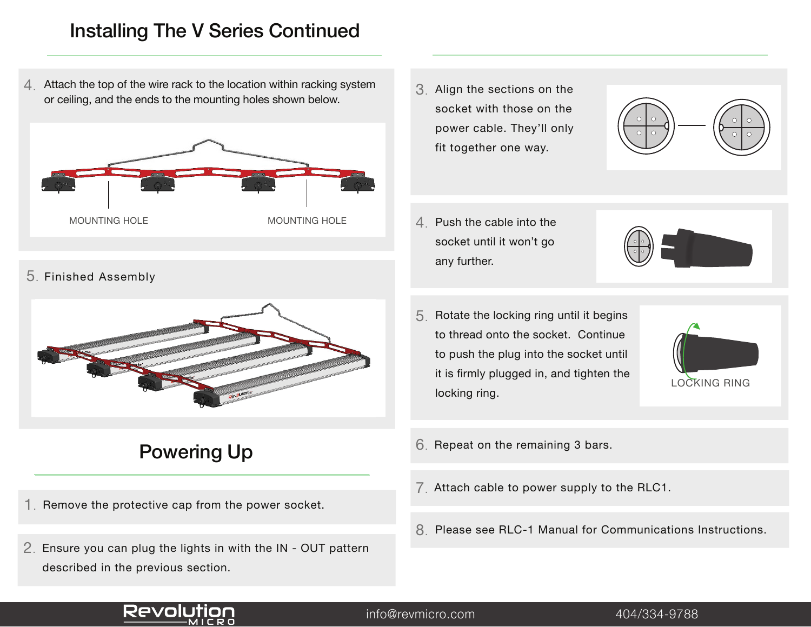## Installing The V Series Continued

4. Attach the top of the wire rack to the location within racking system or ceiling, and the ends to the mounting holes shown below.



5. Finished Assembly



# Powering Up

- 1. Remove the protective cap from the power socket.
- 2. Ensure you can plug the lights in with the IN OUT pattern described in the previous section.

3. Align the sections on the socket with those on the power cable. They'll only fit together one way.



- $4.$  Push the cable into the socket until it won't go any further.
- $5<sub>l</sub>$  Rotate the locking ring until it begins to thread onto the socket. Continue to push the plug into the socket until it is firmly plugged in, and tighten the locking ring.



- 6. Repeat on the remaining 3 bars.
- $7<sub>l</sub>$  Attach cable to power supply to the RLC1.
- 8 Please see RLC-1 Manual for Communications Instructions.